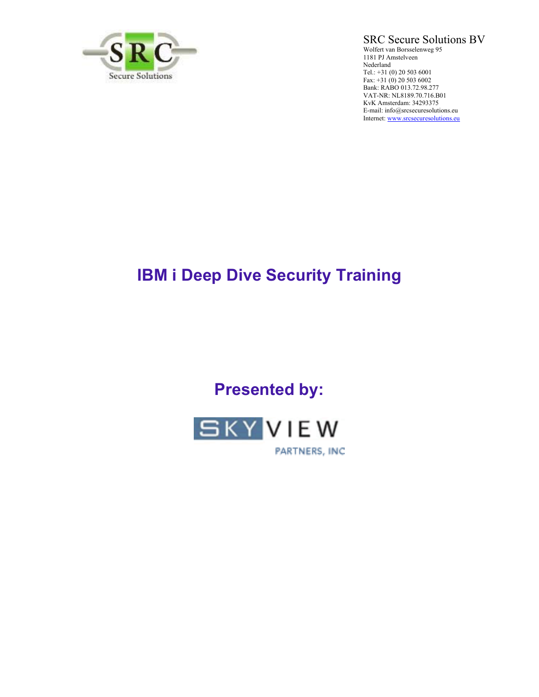

SRC Secure Solutions BV

Wolfert van Borsselenweg 95 1181 PJ Amstelveen Nederland Tel.: +31 (0) 20 503 6001 Fax: +31 (0) 20 503 6002 Bank: RABO 013.72.98.277 VAT-NR: NL8189.70.716.B01 KvK Amsterdam: 34293375 E-mail: info@srcsecuresolutions.eu Internet: www.srcsecuresolutions.eu

# **IBM i Deep Dive Security Training**

**Presented by:** 



PARTNERS, INC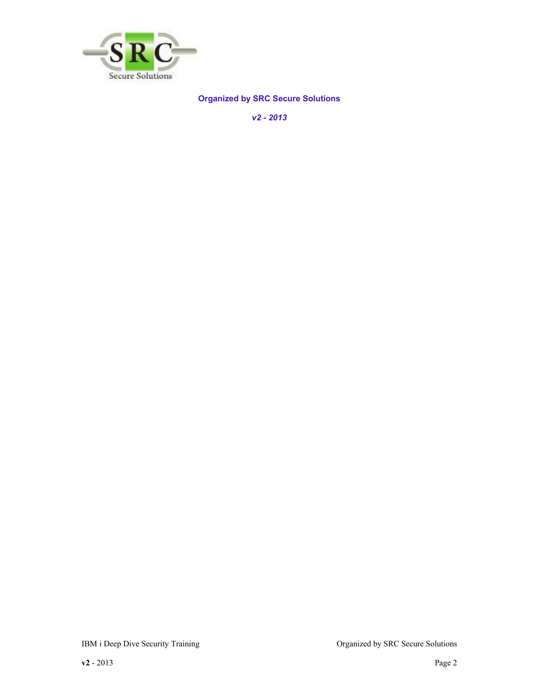

## **Organized by SRC Secure Solutions**

*v2 - 2013*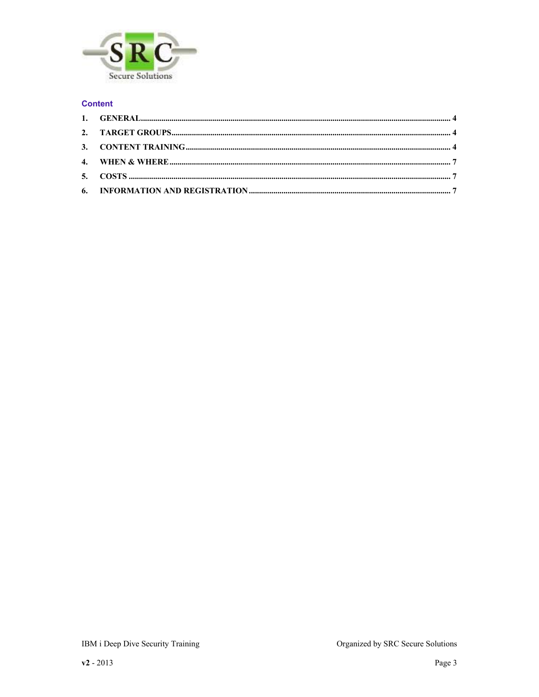

## **Content**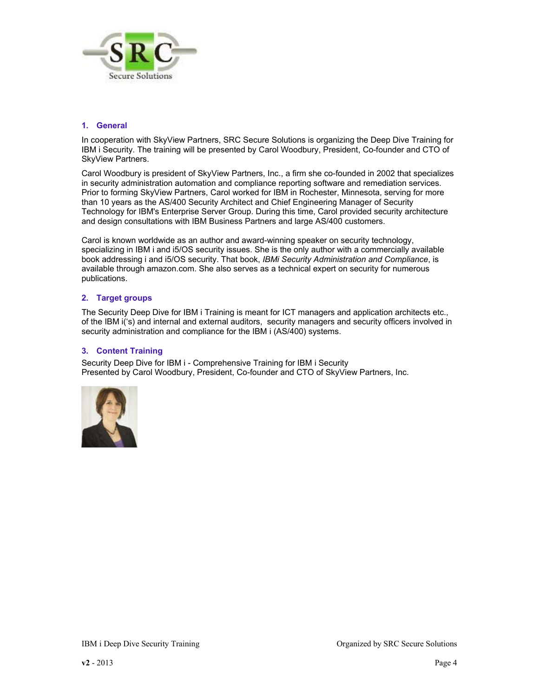

#### **1. General**

In cooperation with SkyView Partners, SRC Secure Solutions is organizing the Deep Dive Training for IBM i Security. The training will be presented by Carol Woodbury, President, Co-founder and CTO of SkyView Partners.

Carol Woodbury is president of SkyView Partners, Inc., a firm she co-founded in 2002 that specializes in security administration automation and compliance reporting software and remediation services. Prior to forming SkyView Partners, Carol worked for IBM in Rochester, Minnesota, serving for more than 10 years as the AS/400 Security Architect and Chief Engineering Manager of Security Technology for IBM's Enterprise Server Group. During this time, Carol provided security architecture and design consultations with IBM Business Partners and large AS/400 customers.

Carol is known worldwide as an author and award-winning speaker on security technology, specializing in IBM i and i5/OS security issues. She is the only author with a commercially available book addressing i and i5/OS security. That book, *IBMi Security Administration and Compliance*, is available through amazon.com. She also serves as a technical expert on security for numerous publications.

#### **2. Target groups**

The Security Deep Dive for IBM i Training is meant for ICT managers and application architects etc., of the IBM i('s) and internal and external auditors, security managers and security officers involved in security administration and compliance for the IBM i (AS/400) systems.

#### **3. Content Training**

Security Deep Dive for IBM i - Comprehensive Training for IBM i Security Presented by Carol Woodbury, President, Co-founder and CTO of SkyView Partners, Inc.

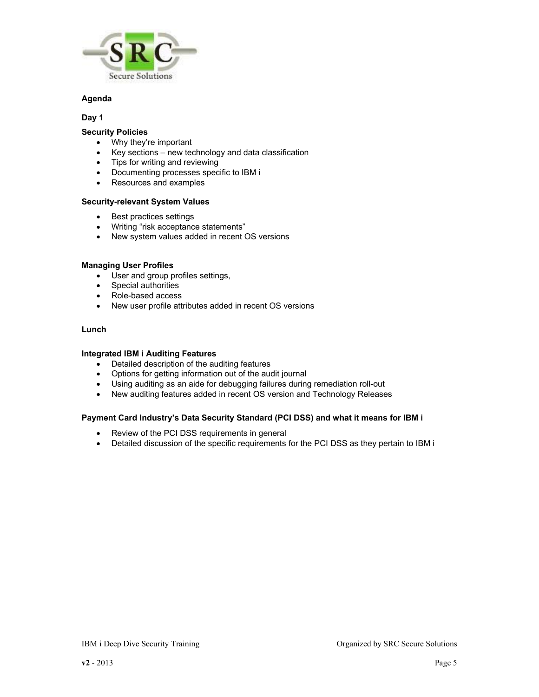

#### **Agenda**

#### **Day 1**

#### **Security Policies**

- Why they're important
- Key sections new technology and data classification
- Tips for writing and reviewing
- Documenting processes specific to IBM i
- Resources and examples

#### **Security-relevant System Values**

- Best practices settings
- Writing "risk acceptance statements"
- New system values added in recent OS versions

#### **Managing User Profiles**

- User and group profiles settings,
- Special authorities
- Role-based access
- New user profile attributes added in recent OS versions

#### **Lunch**

#### **Integrated IBM i Auditing Features**

- Detailed description of the auditing features
- Options for getting information out of the audit journal
- Using auditing as an aide for debugging failures during remediation roll-out
- New auditing features added in recent OS version and Technology Releases

#### **Payment Card Industry's Data Security Standard (PCI DSS) and what it means for IBM i**

- Review of the PCI DSS requirements in general
- Detailed discussion of the specific requirements for the PCI DSS as they pertain to IBM i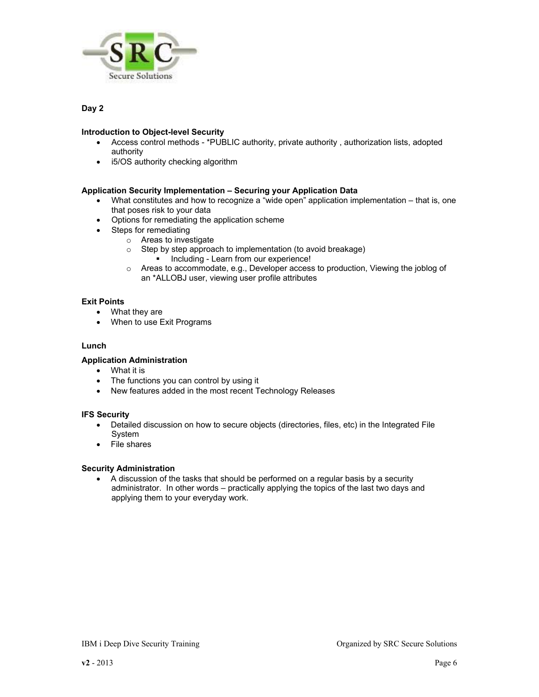

#### **Day 2**

#### **Introduction to Object-level Security**

- Access control methods \*PUBLIC authority, private authority , authorization lists, adopted authority
- i5/OS authority checking algorithm

#### **Application Security Implementation – Securing your Application Data**

- What constitutes and how to recognize a "wide open" application implementation that is, one that poses risk to your data
- Options for remediating the application scheme
- Steps for remediating
	- o Areas to investigate
	- o Step by step approach to implementation (to avoid breakage)
		- Including Learn from our experience!
	- $\circ$  Areas to accommodate, e.g., Developer access to production, Viewing the joblog of an \*ALLOBJ user, viewing user profile attributes

#### **Exit Points**

- What they are
- When to use Exit Programs

#### **Lunch**

#### **Application Administration**

- What it is
- The functions you can control by using it
- New features added in the most recent Technology Releases

#### **IFS Security**

- Detailed discussion on how to secure objects (directories, files, etc) in the Integrated File System
- File shares

#### **Security Administration**

• A discussion of the tasks that should be performed on a regular basis by a security administrator. In other words – practically applying the topics of the last two days and applying them to your everyday work.